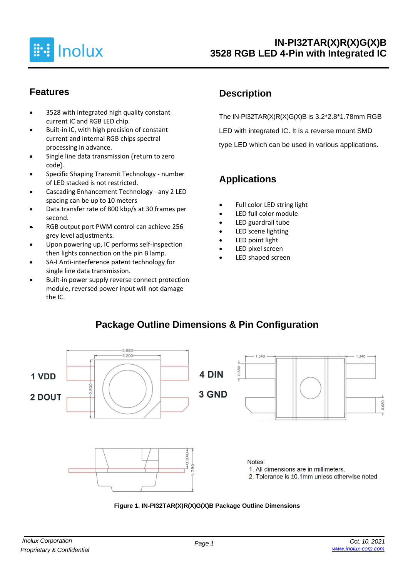

#### **Features**

- 3528 with integrated high quality constant current IC and RGB LED chip.
- Built-in IC, with high precision of constant current and internal RGB chips spectral processing in advance.
- Single line data transmission (return to zero code).
- Specific Shaping Transmit Technology number of LED stacked is not restricted.
- Cascading Enhancement Technology any 2 LED spacing can be up to 10 meters
- Data transfer rate of 800 kbp/s at 30 frames per second.
- RGB output port PWM control can achieve 256 grey level adjustments.
- Upon powering up, IC performs self-inspection then lights connection on the pin B lamp.
- SA-I Anti-interference patent technology for single line data transmission.
- Built-in power supply reverse connect protection module, reversed power input will not damage the IC.

## **Description**

The IN-PI32TAR(X)R(X)G(X)B is 3.2\*2.8\*1.78mm RGB LED with integrated IC. It is a reverse mount SMD type LED which can be used in various applications.

## **Applications**

- Full color LED string light
- LED full color module
- LED guardrail tube
- LED scene lighting
- LED point light
- LED pixel screen
- LED shaped screen

## **Package Outline Dimensions & Pin Configuration**



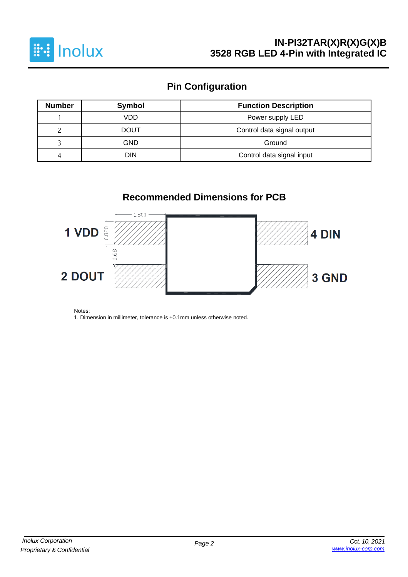

# **Pin Configuration**

| <b>Number</b> | Symbol                           | <b>Function Description</b> |  |  |  |  |  |
|---------------|----------------------------------|-----------------------------|--|--|--|--|--|
|               | VDD                              | Power supply LED            |  |  |  |  |  |
|               | <b>DOUT</b>                      | Control data signal output  |  |  |  |  |  |
|               | GND                              | Ground                      |  |  |  |  |  |
| 4             | Control data signal input<br>DIN |                             |  |  |  |  |  |

## **Recommended Dimensions for PCB**



Notes:

1. Dimension in millimeter, tolerance is ±0.1mm unless otherwise noted.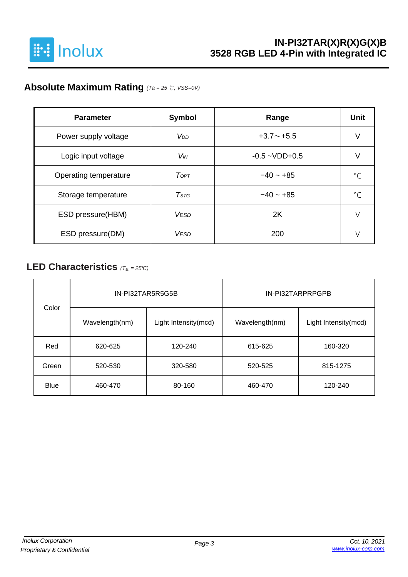

## **Absolute Maximum Rating** *(Ta = 25* ℃*, VSS=0V)*

| <b>Parameter</b>      | <b>Symbol</b>          | Range              | <b>Unit</b> |
|-----------------------|------------------------|--------------------|-------------|
| Power supply voltage  | <b>V</b> <sub>DD</sub> | $+3.7 \sim +5.5$   | ν           |
| Logic input voltage   | <b>V<sub>IN</sub></b>  | $-0.5 - VDD + 0.5$ |             |
| Operating temperature | ToPT                   | $-40 - +85$        | $\circ$     |
| Storage temperature   | $T$ stg                | $-40 - +85$        | $\circ$     |
| ESD pressure(HBM)     | <b>VESD</b>            | 2K                 | V           |
| ESD pressure(DM)      | <b>VESD</b>            | 200                |             |

### **LED Characteristics** *(Ta <sup>=</sup> 25°C)*

| Color       |                | IN-PI32TAR5R5G5B     | IN-PI32TARPRPGPB   |                      |  |  |  |
|-------------|----------------|----------------------|--------------------|----------------------|--|--|--|
|             | Wavelength(nm) | Light Intensity(mcd) | Wavelength(nm)     | Light Intensity(mcd) |  |  |  |
| Red         | 620-625        | 120-240              | 615-625<br>160-320 |                      |  |  |  |
| Green       | 520-530        | 320-580              |                    | 815-1275             |  |  |  |
| <b>Blue</b> | 460-470        | 80-160               | 460-470            | 120-240              |  |  |  |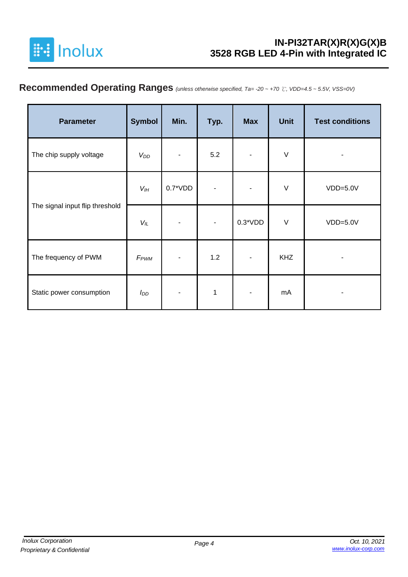

## **Recommended Operating Ranges** *(unless otherwise specified, Ta= -20 ~ +70* ℃*, VDD=4.5 ~ 5.5V, VSS=0V)*

| <b>Parameter</b>                | <b>Symbol</b>    | Min.      | Typ. | <b>Max</b>               | <b>Unit</b> | <b>Test conditions</b> |
|---------------------------------|------------------|-----------|------|--------------------------|-------------|------------------------|
| The chip supply voltage         | $V_{DD}$         | ٠         | 5.2  | ۰                        | $\vee$      | -                      |
|                                 | $V_{I H}$        | $0.7*VDD$ |      | ٠                        | $\vee$      | $VDD=5.0V$             |
| The signal input flip threshold | $V_L$            |           |      | $0.3*VDD$                | $\vee$      | $VDD=5.0V$             |
| The frequency of PWM            | F <sub>PWM</sub> |           | 1.2  | $\overline{\phantom{a}}$ | <b>KHZ</b>  |                        |
| Static power consumption        | I <sub>DD</sub>  |           | 1    |                          | mA          |                        |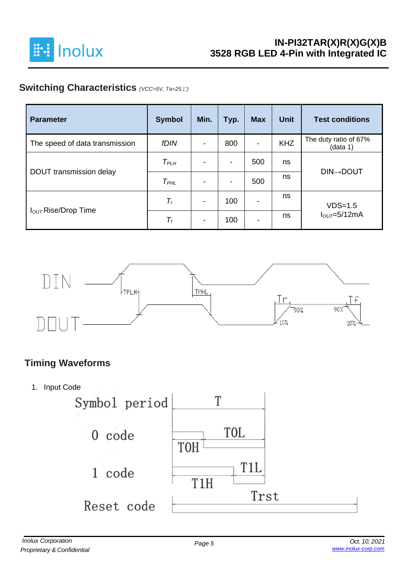

## **Switching Characteristics** *(VCC=5V, Ta=25*℃*)*

| <b>Parameter</b>                | <b>Symbol</b>    | Min.                     | Typ. | <b>Max</b>               | <b>Unit</b> | <b>Test conditions</b>            |
|---------------------------------|------------------|--------------------------|------|--------------------------|-------------|-----------------------------------|
| The speed of data transmission  | <b>fDIN</b>      | $\overline{\phantom{0}}$ | 800  | $\overline{\phantom{a}}$ | <b>KHZ</b>  | The duty ratio of 67%<br>(data 1) |
|                                 | T <sub>PLH</sub> | ٠                        | -    | 500                      | ns          |                                   |
| DOUT transmission delay         | $T_{PHL}$        |                          | -    | 500                      | ns          | <b>DIN→DOUT</b>                   |
|                                 | $T_r$            | $\overline{\phantom{a}}$ | 100  | $\overline{\phantom{a}}$ | ns          | $VDS=1.5$                         |
| I <sub>OUT</sub> Rise/Drop Time | $T_f$            | $\blacksquare$           | 100  | $\overline{\phantom{a}}$ | ns          | $IOUT=5/12mA$                     |



## **Timing Waveforms**

1. Input Code

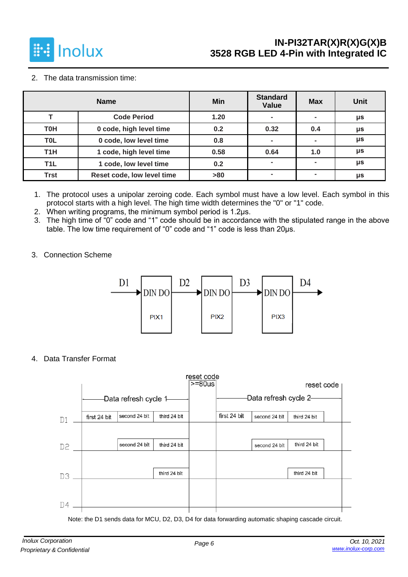

2. The data transmission time:

|                  | <b>Name</b>                | Min  | <b>Standard</b><br><b>Value</b> | <b>Max</b> | <b>Unit</b> |
|------------------|----------------------------|------|---------------------------------|------------|-------------|
|                  | <b>Code Period</b>         | 1.20 |                                 |            | μs          |
| <b>T0H</b>       | 0 code, high level time    | 0.2  | 0.32                            | 0.4        | μs          |
| <b>TOL</b>       | 0 code, low level time     | 0.8  |                                 |            | μs          |
| T <sub>1</sub> H | 1 code, high level time    | 0.58 | 0.64                            | 1.0        | μs          |
| T <sub>1</sub> L | 1 code, low level time     | 0.2  |                                 |            | μs          |
| <b>Trst</b>      | Reset code, low level time | >80  |                                 | ۰          | μs          |

1. The protocol uses a unipolar zeroing code. Each symbol must have a low level. Each symbol in this protocol starts with a high level. The high time width determines the "0" or "1" code.

- 2. When writing programs, the minimum symbol period is 1.2μs.
- 3. The high time of "0" code and "1" code should be in accordance with the stipulated range in the above table. The low time requirement of "0" code and "1" code is less than 20μs.
- 3. Connection Scheme



4. Data Transfer Format



Note: the D1 sends data for MCU, D2, D3, D4 for data forwarding automatic shaping cascade circuit.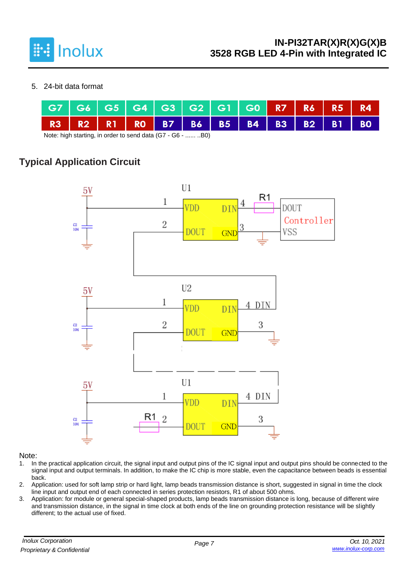

#### 5. 24-bit data format

|                                  |  |  | G7 G6 G5 G4 G3 G2 G1 G0 R7 R6 R5 R4                       |  |  |  |  |  |  |  |
|----------------------------------|--|--|-----------------------------------------------------------|--|--|--|--|--|--|--|
|                                  |  |  | R3   R2   R1   R0   B7   B6   B5   B4   B3   B2   B1   B0 |  |  |  |  |  |  |  |
| $\blacksquare$<br>D <sub>n</sub> |  |  |                                                           |  |  |  |  |  |  |  |

Note: high starting, in order to send data (G7 - G6 - ...... ..B0)

## **Typical Application Circuit**



#### Note:

- 1. In the practical application circuit, the signal input and output pins of the IC signal input and output pins should be connected to the signal input and output terminals. In addition, to make the IC chip is more stable, even the capacitance between beads is essential back.
- 2. Application: used for soft lamp strip or hard light, lamp beads transmission distance is short, suggested in signal in time the clock line input and output end of each connected in series protection resistors, R1 of about 500 ohms.
- 3. Application: for module or general special-shaped products, lamp beads transmission distance is long, because of different wire and transmission distance, in the signal in time clock at both ends of the line on grounding protection resistance will be slightly different; to the actual use of fixed.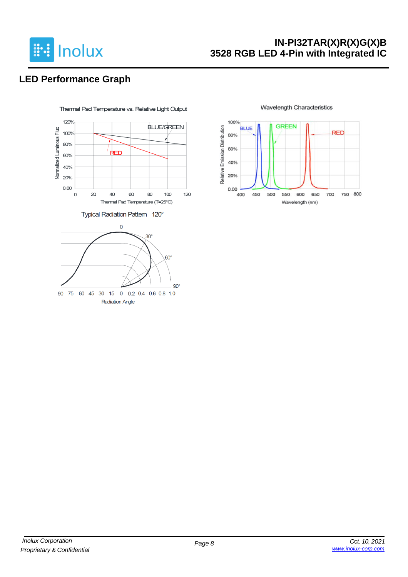

## **LED Performance Graph**



#### **Wavelength Characteristics**

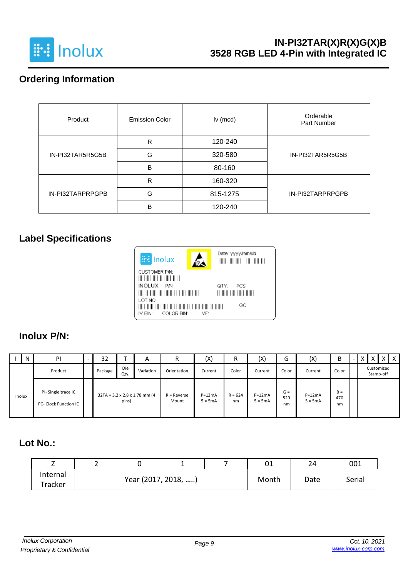

## **Ordering Information**

| Product          | <b>Emission Color</b> | $lv$ (mcd) | Orderable<br>Part Number |  |  |
|------------------|-----------------------|------------|--------------------------|--|--|
|                  | R                     | 120-240    |                          |  |  |
| IN-PI32TAR5R5G5B | G                     | 320-580    | IN-PI32TAR5R5G5B         |  |  |
|                  | B                     | 80-160     |                          |  |  |
|                  | R                     | 160-320    |                          |  |  |
| IN-PI32TARPRPGPB | G                     | 815-1275   | IN-PI32TARPRPGPB         |  |  |
|                  | B                     | 120-240    |                          |  |  |

## **Label Specifications**



#### **Inolux P/N:**

| N      | PI                                                 | 32      |             | $\overline{A}$                            | R                      | (X)                   | R               | (X)                   | G                  | (X)                   | В                  |  |           |            | $\mathsf{x}$ |
|--------|----------------------------------------------------|---------|-------------|-------------------------------------------|------------------------|-----------------------|-----------------|-----------------------|--------------------|-----------------------|--------------------|--|-----------|------------|--------------|
|        | Product                                            | Package | Die<br>Qty. | Variation                                 | Orientation            | Current               | Color           | Current               | Color              | Current               | Color              |  | Stamp-off | Customized |              |
| Inolux | PI-Single trace IC<br><b>PC- Clock Function IC</b> |         | pins)       | $32TA = 3.2 \times 2.8 \times 1.78$ mm (4 | $R =$ Reverse<br>Mount | $P=12mA$<br>$5 = 5mA$ | $R = 624$<br>nm | $P=12mA$<br>$5 = 5mA$ | $G =$<br>520<br>nm | $P=12mA$<br>$5 = 5mA$ | $B =$<br>470<br>nm |  |           |            |              |

## **Lot No.:**

| <u>_</u> | - |                     | -     |      | 01     | 24<br>ᅩᅮ | 001 |
|----------|---|---------------------|-------|------|--------|----------|-----|
| Internal |   | Year (2017, 2018, ) | Month | Date | Serial |          |     |
| Tracker  |   |                     |       |      |        |          |     |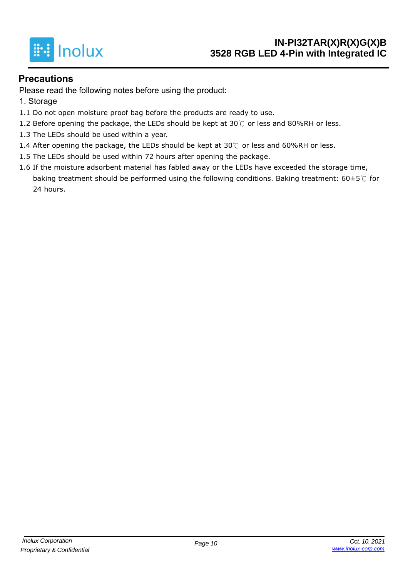

#### **Precautions**

Please read the following notes before using the product:

- 1. Storage
- 1.1 Do not open moisture proof bag before the products are ready to use.
- 1.2 Before opening the package, the LEDs should be kept at 30℃ or less and 80%RH or less.
- 1.3 The LEDs should be used within a year.
- 1.4 After opening the package, the LEDs should be kept at  $30^{\circ}$  or less and 60%RH or less.
- 1.5 The LEDs should be used within 72 hours after opening the package.
- 1.6 If the moisture adsorbent material has fabled away or the LEDs have exceeded the storage time, baking treatment should be performed using the following conditions. Baking treatment: 60±5℃ for 24 hours.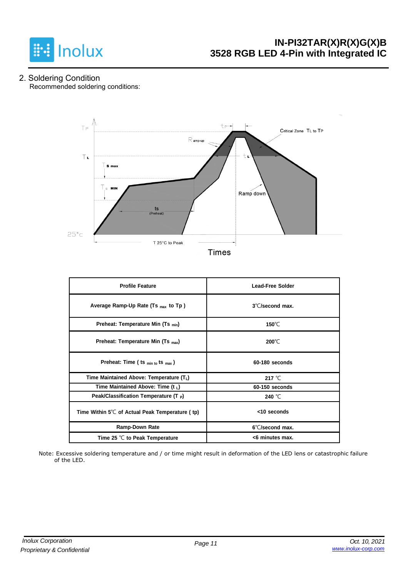

2. Soldering Condition Recommended soldering conditions:



**Times** 

| <b>Profile Feature</b>                                    | <b>Lead-Free Solder</b>   |
|-----------------------------------------------------------|---------------------------|
| Average Ramp-Up Rate (Ts <sub>max</sub> to Tp)            | $3^{\circ}$ C/second max. |
| Preheat: Temperature Min (Ts <sub>min</sub> )             | 150 $\degree$ C           |
| Preheat: Temperature Min (Ts <sub>max</sub> )             | $200^{\circ}$ C           |
| Preheat: Time (ts min to ts max)                          | 60-180 seconds            |
| Time Maintained Above: Temperature (TL)                   | 217 $°C$                  |
| Time Maintained Above: Time (t L)                         | 60-150 seconds            |
| Peak/Classification Temperature $(T_P)$                   | 240 °C                    |
| Time Within $5^{\circ}$ C of Actual Peak Temperature (tp) | <10 seconds               |
| Ramp-Down Rate                                            | 6°C/second max.           |
| Time 25 $\degree$ C to Peak Temperature                   | <6 minutes max.           |

Note: Excessive soldering temperature and / or time might result in deformation of the LED lens or catastrophic failure of the LED.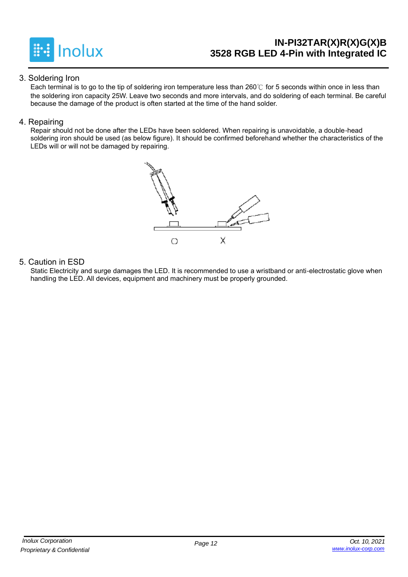

#### 3. Soldering Iron

Each terminal is to go to the tip of soldering iron temperature less than 260℃ for 5 seconds within once in less than the soldering iron capacity 25W. Leave two seconds and more intervals, and do soldering of each terminal. Be careful because the damage of the product is often started at the time of the hand solder.

#### 4. Repairing

Repair should not be done after the LEDs have been soldered. When repairing is unavoidable, a double-head soldering iron should be used (as below figure). It should be confirmed beforehand whether the characteristics of the LEDs will or will not be damaged by repairing.



#### 5. Caution in ESD

Static Electricity and surge damages the LED. It is recommended to use a wristband or anti-electrostatic glove when handling the LED. All devices, equipment and machinery must be properly grounded.